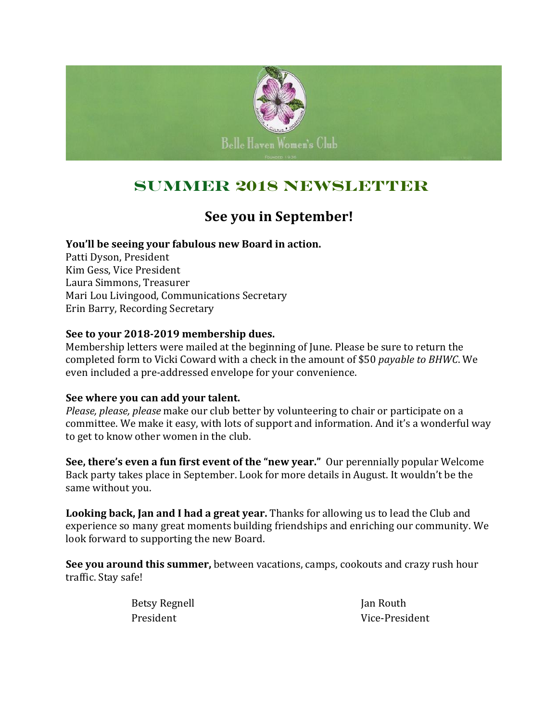

# **SUMMER 2018 Newsletter**

### **See you in September!**

### **You'll be seeing your fabulous new Board in action.**

Patti Dyson, President Kim Gess, Vice President Laura Simmons, Treasurer Mari Lou Livingood, Communications Secretary Erin Barry, Recording Secretary

### **See to your 2018-2019 membership dues.**

Membership letters were mailed at the beginning of June. Please be sure to return the completed form to Vicki Coward with a check in the amount of \$50 *payable to BHWC*. We even included a pre-addressed envelope for your convenience.

#### **See where you can add your talent.**

*Please, please, please* make our club better by volunteering to chair or participate on a committee. We make it easy, with lots of support and information. And it's a wonderful way to get to know other women in the club.

**See, there's even a fun first event of the "new year."** Our perennially popular Welcome Back party takes place in September. Look for more details in August. It wouldn't be the same without you.

**Looking back, Jan and I had a great year.** Thanks for allowing us to lead the Club and experience so many great moments building friendships and enriching our community. We look forward to supporting the new Board.

**See you around this summer,** between vacations, camps, cookouts and crazy rush hour traffic. Stay safe!

| Betsy Regnell | Jan Routh      |
|---------------|----------------|
| President     | Vice-President |